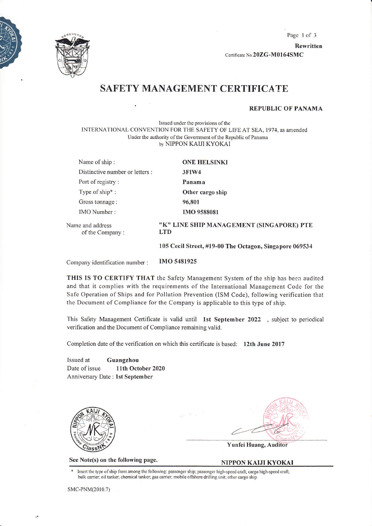

Page l of <sup>3</sup> Rewritten Certificate No.20ZG-M0164SMC

# SAFETY MANAGEMENT CERTIFICA TE

REPUBLIC OF PANAMA

Issued under the provisions of the INTERNATIONAL CONVENTION FOR THE SAFETY OF LIFE AT SEA, 1974, as amended Under the authority of the Government of the Republic of Panama by NIPPON KAIJI KYOKAI

| Name of ship:                       | <b>ONE HELSINKI</b>                                    |
|-------------------------------------|--------------------------------------------------------|
| Distinctive number or letters :     | 3FIW4                                                  |
| Port of registry:                   | Panama                                                 |
| Type of ship*:                      | Other cargo ship                                       |
| Gross tonnage:                      | 96,801                                                 |
| IMO Number:                         | <b>IMO 9588081</b>                                     |
| Name and address<br>of the Company: | "K" LINE SHIP MANAGEMENT (SINGAPORE) PTE<br><b>ITD</b> |
|                                     | 105 Cecil Street, #19-00 The Octagon, Singapore 069534 |

Company identification number: IMO <sup>5481925</sup>

THIS IS TO CERTIFY THAT the Safety Management System of the ship has been audited and that it complies with the requirements of the International Management Code for the Safe Operation of Ships and for Pollution Preyention (lSM Code), following verification that the Document of Compliance for the Company is applicable to this type of ship.

This Safety Management Certificate is valid until 1st September 2022 , subject to periodical verification and the Document of Compliance remaining valid.

Completion date of the verification on which this certificate is based:  $12$ th June 2017

Issued at Guangzhou Date of issue 11th October 2020 Anniversary Date: 1st September



See Note(s) on the following page.

Yunfei Huang, Auditor

#### NIPPON KAIJI KYOKAI

Insert the type of ship from among the following: passenger ship; passenger high-speed craft; cargo high-speed craft; bulk carrier; oil tanker; chemical tanker, gas carrier; mobile offshore drilling unit; other cargo ship.

sMC-PNM(2010.7)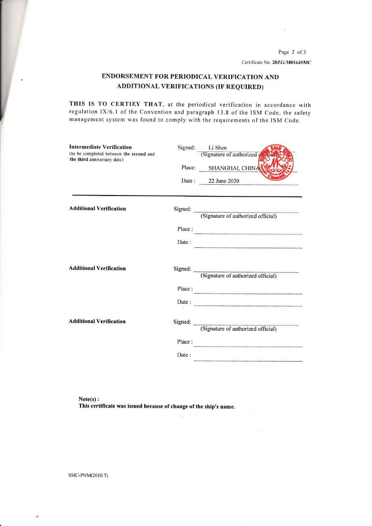Page 2 of 3 Certificate No. 20ZG-M0164SMC

### ENDORSEMENT FOR PERIODICAL VERIFICATION AND **ADDITIONAL VERIFICATIONS (IF REQUIRED)**

THIS IS TO CERTIEY THAT, at the periodical verification in accordance with regulation IX/6.1 of the Convention and paragraph 13.8 of the ISM Code, the safety management system was found to comply with the requirements of the ISM Code.

| <b>Intermediate Verification</b><br>(to be completed between the second and |        | Signed: Li Shen<br>(Signature of authorized |
|-----------------------------------------------------------------------------|--------|---------------------------------------------|
| the third anniversary date)                                                 |        | Place: SHANGHAI, CHINA                      |
|                                                                             |        | Date: 22 June 2020                          |
|                                                                             |        |                                             |
| <b>Additional Verification</b>                                              |        | Signed: (Signature of authorized official)  |
|                                                                             | Place: |                                             |
|                                                                             | Date:  |                                             |
| <b>Additional Verification</b>                                              |        | Signed: (Signature of authorized official)  |
|                                                                             | Place: |                                             |
|                                                                             |        | Date: $\overline{\qquad \qquad }$           |
| <b>Additional Verification</b>                                              |        | Signed: (Signature of authorized official)  |
|                                                                             | Place: |                                             |
|                                                                             | Date:  |                                             |

 $\hat{\omega}^{(0)}$  .

 $Note(s):$ This certificate was issued because of change of the ship's name.

SMC-PNM(2010.7)

 $\ddot{\phantom{a}}$